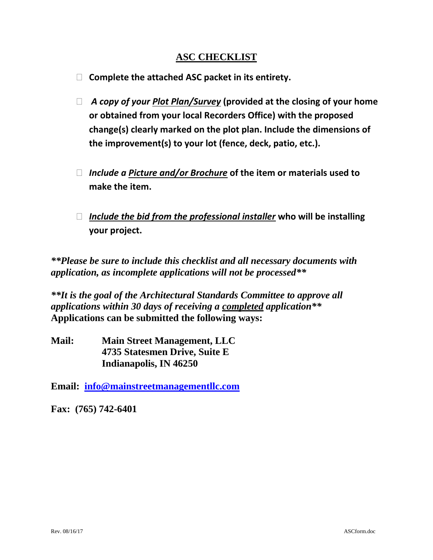## **ASC CHECKLIST**

- **Complete the attached ASC packet in its entirety.**
- *A copy of your Plot Plan/Survey* **(provided at the closing of your home or obtained from your local Recorders Office) with the proposed change(s) clearly marked on the plot plan. Include the dimensions of the improvement(s) to your lot (fence, deck, patio, etc.).**
- *Include a Picture and/or Brochure* **of the item or materials used to make the item.**
- *Include the bid from the professional installer* **who will be installing your project.**

*\*\*Please be sure to include this checklist and all necessary documents with application, as incomplete applications will not be processed\*\**

*\*\*It is the goal of the Architectural Standards Committee to approve all applications within 30 days of receiving a completed application\*\** **Applications can be submitted the following ways:**

**Mail: Main Street Management, LLC 4735 Statesmen Drive, Suite E Indianapolis, IN 46250**

**Email: [info@mainstreetmanagementllc.com](mailto:info@mainstreetmanagementllc.com)**

**Fax: (765) 742-6401**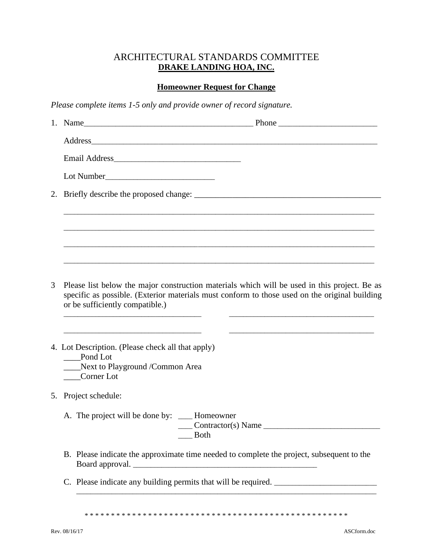### ARCHITECTURAL STANDARDS COMMITTEE **DRAKE LANDING HOA, INC.**

# **Homeowner Request for Change**

*Please complete items 1-5 only and provide owner of record signature.*

|   | 1. Name<br>Phone                                                                                                                                                                                                                                                                                                                                          |
|---|-----------------------------------------------------------------------------------------------------------------------------------------------------------------------------------------------------------------------------------------------------------------------------------------------------------------------------------------------------------|
|   |                                                                                                                                                                                                                                                                                                                                                           |
|   |                                                                                                                                                                                                                                                                                                                                                           |
|   |                                                                                                                                                                                                                                                                                                                                                           |
|   |                                                                                                                                                                                                                                                                                                                                                           |
|   |                                                                                                                                                                                                                                                                                                                                                           |
|   |                                                                                                                                                                                                                                                                                                                                                           |
|   |                                                                                                                                                                                                                                                                                                                                                           |
|   |                                                                                                                                                                                                                                                                                                                                                           |
| 3 | Please list below the major construction materials which will be used in this project. Be as<br>specific as possible. (Exterior materials must conform to those used on the original building<br>or be sufficiently compatible.)<br><u> 1989 - Johann Stoff, deutscher Stoff, der Stoff, der Stoff, der Stoff, der Stoff, der Stoff, der Stoff, der S</u> |
|   | 4. Lot Description. (Please check all that apply)<br>Pond Lot<br>Next to Playground /Common Area<br>Corner Lot                                                                                                                                                                                                                                            |
|   | 5. Project schedule:                                                                                                                                                                                                                                                                                                                                      |
|   | A. The project will be done by: ____ Homeowner<br>$\_$ Contractor(s) Name<br><b>Both</b>                                                                                                                                                                                                                                                                  |
|   | B. Please indicate the approximate time needed to complete the project, subsequent to the                                                                                                                                                                                                                                                                 |
|   |                                                                                                                                                                                                                                                                                                                                                           |
|   |                                                                                                                                                                                                                                                                                                                                                           |

\* \* \* \* \* \* \* \* \* \* \* \* \* \* \* \* \* \* \* \* \* \* \* \* \* \* \* \* \* \* \* \* \* \* \* \* \* \* \* \* \* \* \* \* \* \* \* \* \* \*